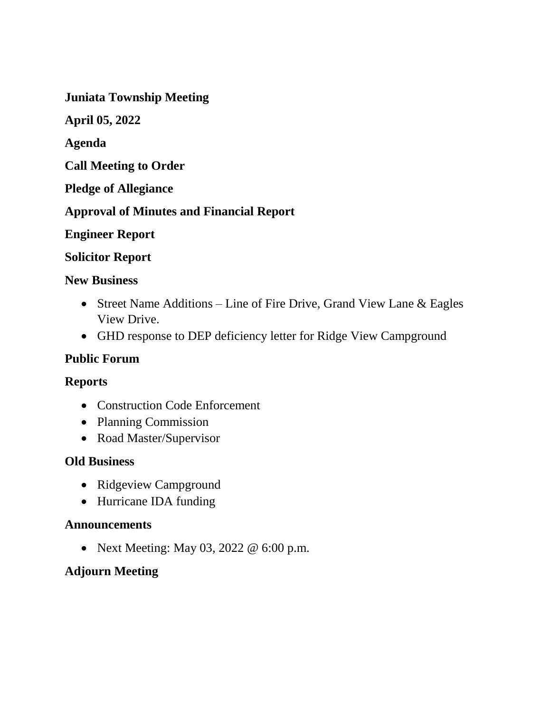**Juniata Township Meeting**

**April 05, 2022**

**Agenda** 

**Call Meeting to Order**

**Pledge of Allegiance**

**Approval of Minutes and Financial Report** 

**Engineer Report** 

### **Solicitor Report**

#### **New Business**

- Street Name Additions Line of Fire Drive, Grand View Lane & Eagles View Drive.
- GHD response to DEP deficiency letter for Ridge View Campground

### **Public Forum**

### **Reports**

- Construction Code Enforcement
- Planning Commission
- Road Master/Supervisor

### **Old Business**

- Ridgeview Campground
- Hurricane IDA funding

### **Announcements**

• Next Meeting: May 03, 2022 @ 6:00 p.m.

### **Adjourn Meeting**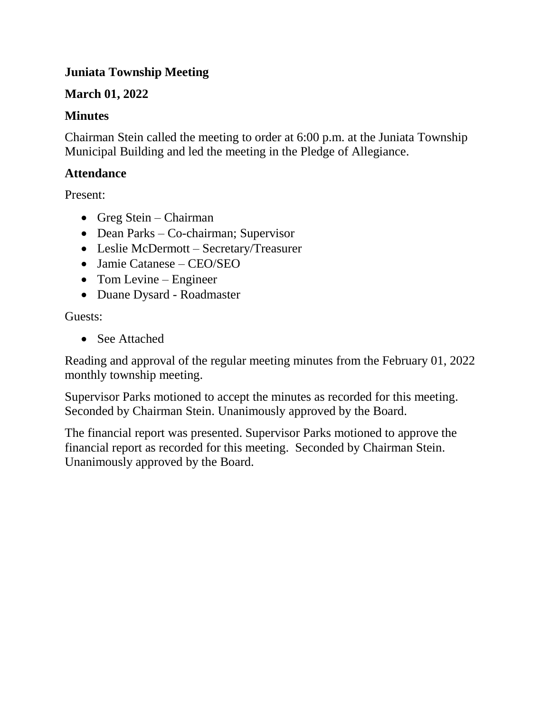# **Juniata Township Meeting**

# **March 01, 2022**

# **Minutes**

Chairman Stein called the meeting to order at 6:00 p.m. at the Juniata Township Municipal Building and led the meeting in the Pledge of Allegiance.

# **Attendance**

Present:

- Greg Stein Chairman
- Dean Parks Co-chairman; Supervisor
- Leslie McDermott Secretary/Treasurer
- Jamie Catanese CEO/SEO
- Tom Levine Engineer
- Duane Dysard Roadmaster

Guests:

• See Attached

Reading and approval of the regular meeting minutes from the February 01, 2022 monthly township meeting.

Supervisor Parks motioned to accept the minutes as recorded for this meeting. Seconded by Chairman Stein. Unanimously approved by the Board.

The financial report was presented. Supervisor Parks motioned to approve the financial report as recorded for this meeting. Seconded by Chairman Stein. Unanimously approved by the Board.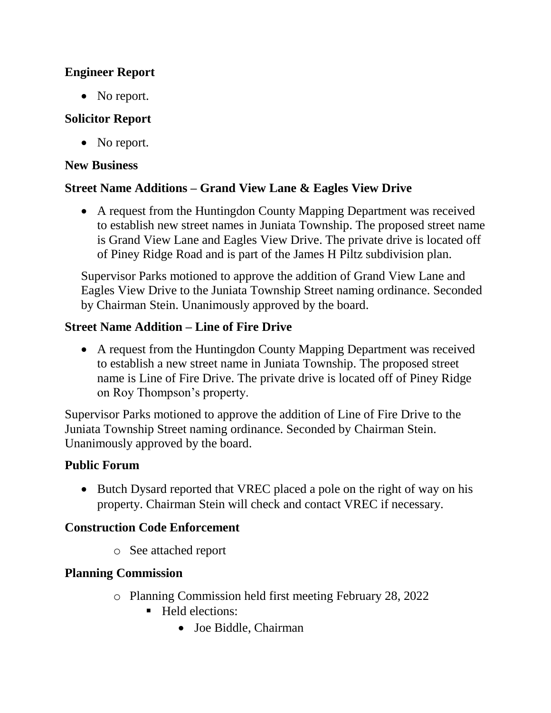### **Engineer Report**

• No report.

# **Solicitor Report**

• No report.

## **New Business**

# **Street Name Additions – Grand View Lane & Eagles View Drive**

 A request from the Huntingdon County Mapping Department was received to establish new street names in Juniata Township. The proposed street name is Grand View Lane and Eagles View Drive. The private drive is located off of Piney Ridge Road and is part of the James H Piltz subdivision plan.

Supervisor Parks motioned to approve the addition of Grand View Lane and Eagles View Drive to the Juniata Township Street naming ordinance. Seconded by Chairman Stein. Unanimously approved by the board.

# **Street Name Addition – Line of Fire Drive**

 A request from the Huntingdon County Mapping Department was received to establish a new street name in Juniata Township. The proposed street name is Line of Fire Drive. The private drive is located off of Piney Ridge on Roy Thompson's property.

Supervisor Parks motioned to approve the addition of Line of Fire Drive to the Juniata Township Street naming ordinance. Seconded by Chairman Stein. Unanimously approved by the board.

# **Public Forum**

• Butch Dysard reported that VREC placed a pole on the right of way on his property. Chairman Stein will check and contact VREC if necessary.

# **Construction Code Enforcement**

o See attached report

# **Planning Commission**

- o Planning Commission held first meeting February 28, 2022
	- Held elections:
		- Joe Biddle, Chairman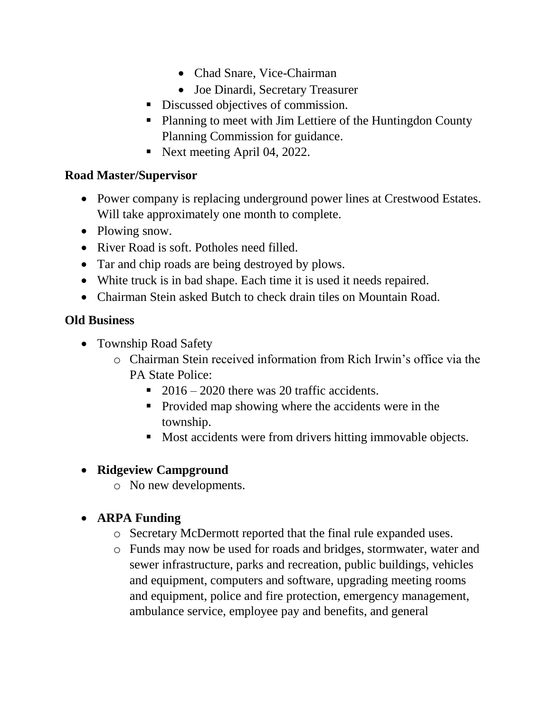- Chad Snare, Vice-Chairman
- Joe Dinardi, Secretary Treasurer
- Discussed objectives of commission.
- Planning to meet with Jim Lettiere of the Huntingdon County Planning Commission for guidance.
- Next meeting April 04, 2022.

### **Road Master/Supervisor**

- Power company is replacing underground power lines at Crestwood Estates. Will take approximately one month to complete.
- Plowing snow.
- River Road is soft. Potholes need filled.
- Tar and chip roads are being destroyed by plows.
- White truck is in bad shape. Each time it is used it needs repaired.
- Chairman Stein asked Butch to check drain tiles on Mountain Road.

# **Old Business**

- Township Road Safety
	- o Chairman Stein received information from Rich Irwin's office via the PA State Police:
		- $\approx 2016 2020$  there was 20 traffic accidents.
		- Provided map showing where the accidents were in the township.
		- Most accidents were from drivers hitting immovable objects.

# **Ridgeview Campground**

o No new developments.

# **ARPA Funding**

- o Secretary McDermott reported that the final rule expanded uses.
- o Funds may now be used for roads and bridges, stormwater, water and sewer infrastructure, parks and recreation, public buildings, vehicles and equipment, computers and software, upgrading meeting rooms and equipment, police and fire protection, emergency management, ambulance service, employee pay and benefits, and general